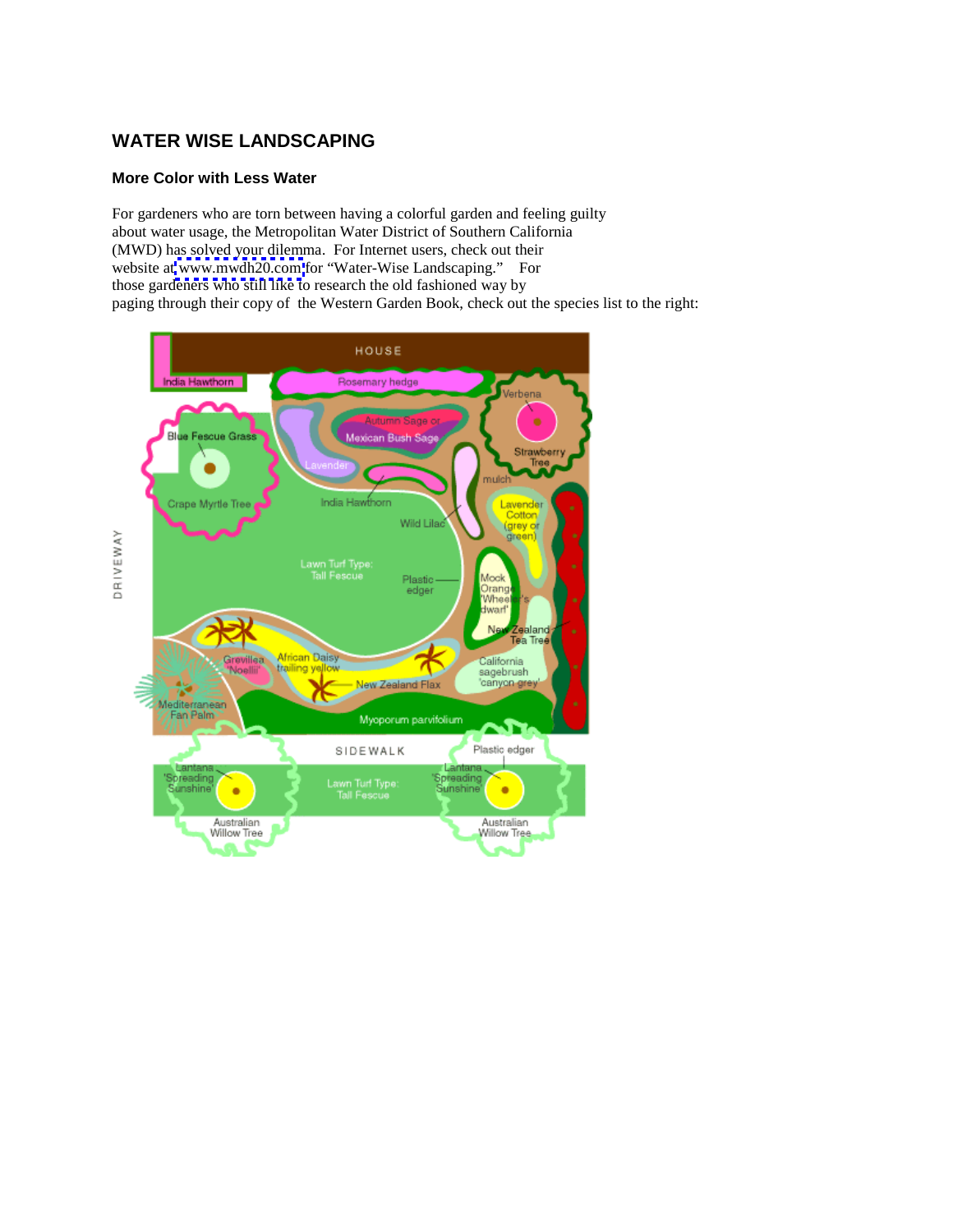## **WATER WISE LANDSCAPING**

## **More Color with Less Water**

For gardeners who are torn between having a colorful garden and feeling guilty about water usage, the Metropolitan Water District of Southern California (MWD) has solved your dilemma. For Internet users, check out their website at [www.mwdh20.com](http://www.mwdh20.com) for "Water-Wise Landscaping." For those gardeners who still like to research the old fashioned way by paging through their copy of the Western Garden Book, check out the species list to the right:

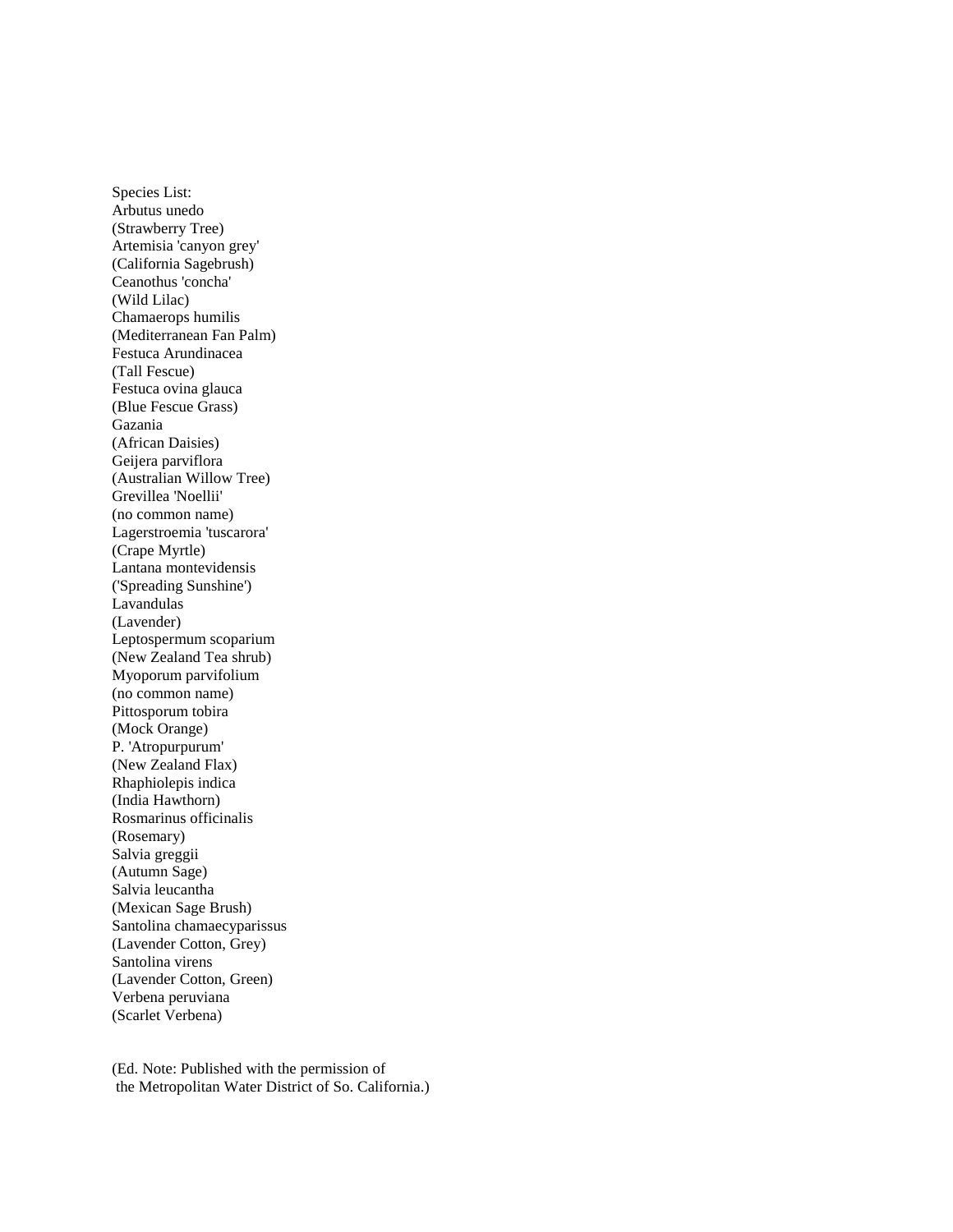Species List: Arbutus unedo (Strawberry Tree) Artemisia 'canyon grey' (California Sagebrush) Ceanothus 'concha' (Wild Lilac) Chamaerops humilis (Mediterranean Fan Palm) Festuca Arundinacea (Tall Fescue) Festuca ovina glauca (Blue Fescue Grass) Gazania (African Daisies) Geijera parviflora (Australian Willow Tree) Grevillea 'Noellii' (no common name) Lagerstroemia 'tuscarora' (Crape Myrtle) Lantana montevidensis ('Spreading Sunshine') Lavandulas (Lavender) Leptospermum scoparium (New Zealand Tea shrub) Myoporum parvifolium (no common name) Pittosporum tobira (Mock Orange) P. 'Atropurpurum' (New Zealand Flax) Rhaphiolepis indica (India Hawthorn) Rosmarinus officinalis (Rosemary) Salvia greggii (Autumn Sage) Salvia leucantha (Mexican Sage Brush) Santolina chamaecyparissus (Lavender Cotton, Grey) Santolina virens (Lavender Cotton, Green) Verbena peruviana (Scarlet Verbena)

(Ed. Note: Published with the permission of the Metropolitan Water District of So. California.)